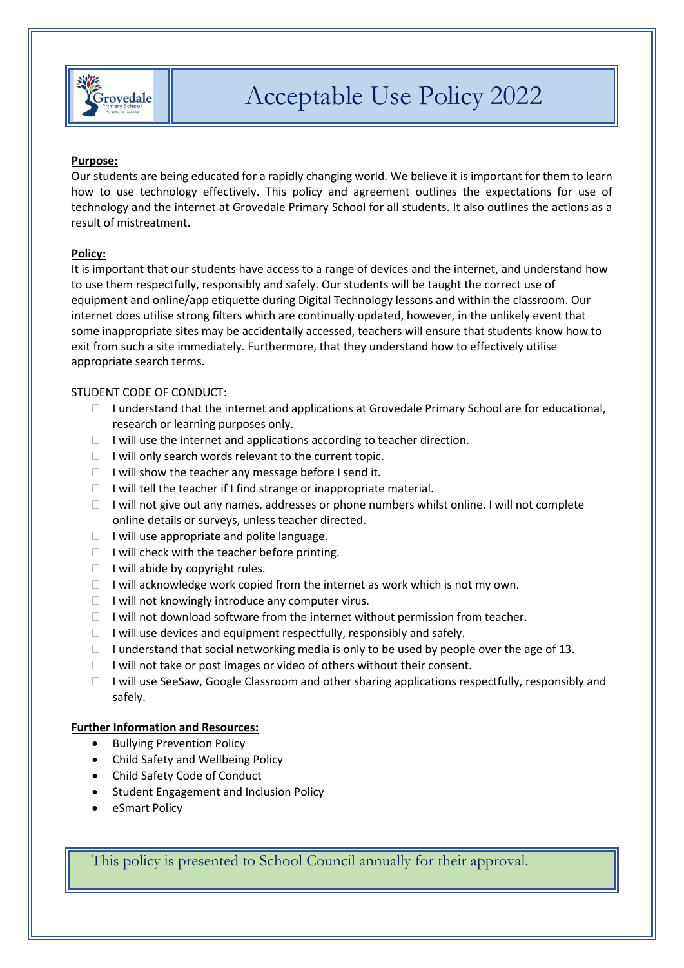

### **Purpose:**

Our students are being educated for a rapidly changing world. We believe it is important for them to learn how to use technology effectively. This policy and agreement outlines the expectations for use of technology and the internet at Grovedale Primary School for all students. It also outlines the actions as a result of mistreatment.

#### **Policy:**

It is important that our students have access to a range of devices and the internet, and understand how to use them respectfully, responsibly and safely. Our students will be taught the correct use of equipment and online/app etiquette during Digital Technology lessons and within the classroom. Our internet does utilise strong filters which are continually updated, however, in the unlikely event that some inappropriate sites may be accidentally accessed, teachers will ensure that students know how to exit from such a site immediately. Furthermore, that they understand how to effectively utilise appropriate search terms.

#### STUDENT CODE OF CONDUCT:

- $\Box$  I understand that the internet and applications at Grovedale Primary School are for educational, research or learning purposes only.
- $\Box$  I will use the internet and applications according to teacher direction.
- $\Box$  I will only search words relevant to the current topic.
- $\Box$  I will show the teacher any message before I send it.
- $\Box$  I will tell the teacher if I find strange or inappropriate material.
- $\Box$  I will not give out any names, addresses or phone numbers whilst online. I will not complete online details or surveys, unless teacher directed.
- $\Box$  I will use appropriate and polite language.
- $\Box$  I will check with the teacher before printing.
- $\Box$  I will abide by copyright rules.
- $\Box$  I will acknowledge work copied from the internet as work which is not my own.
- $\Box$  I will not knowingly introduce any computer virus.
- $\Box$  I will not download software from the internet without permission from teacher.
- $\Box$  I will use devices and equipment respectfully, responsibly and safely.
- I understand that social networking media is only to be used by people over the age of 13.
- $\Box$  I will not take or post images or video of others without their consent.
- $\Box$  I will use SeeSaw, Google Classroom and other sharing applications respectfully, responsibly and safely.

## **Further Information and Resources:**

- Bullying Prevention Policy
- Child Safety and Wellbeing Policy
- Child Safety Code of Conduct
- Student Engagement and Inclusion Policy
- eSmart Policy

This policy is presented to School Council annually for their approval.